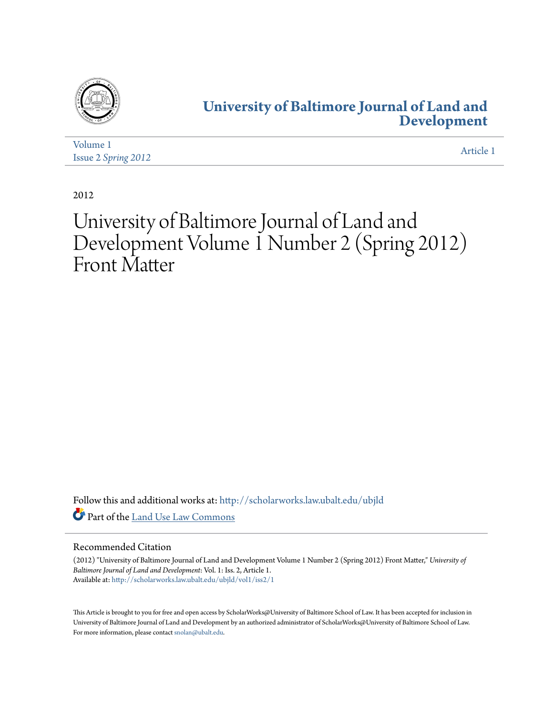

### **[University of Baltimore Journal of Land and](http://scholarworks.law.ubalt.edu/ubjld?utm_source=scholarworks.law.ubalt.edu%2Fubjld%2Fvol1%2Fiss2%2F1&utm_medium=PDF&utm_campaign=PDFCoverPages) [Development](http://scholarworks.law.ubalt.edu/ubjld?utm_source=scholarworks.law.ubalt.edu%2Fubjld%2Fvol1%2Fiss2%2F1&utm_medium=PDF&utm_campaign=PDFCoverPages)**

| Volume 1            |           |
|---------------------|-----------|
| Issue 2 Spring 2012 | Article 1 |

2012

# University of Baltimore Journal of Land and Development Volume 1 Number 2 (Spring 2012) Front Matter

Follow this and additional works at: [http://scholarworks.law.ubalt.edu/ubjld](http://scholarworks.law.ubalt.edu/ubjld?utm_source=scholarworks.law.ubalt.edu%2Fubjld%2Fvol1%2Fiss2%2F1&utm_medium=PDF&utm_campaign=PDFCoverPages) Part of the [Land Use Law Commons](http://network.bepress.com/hgg/discipline/852?utm_source=scholarworks.law.ubalt.edu%2Fubjld%2Fvol1%2Fiss2%2F1&utm_medium=PDF&utm_campaign=PDFCoverPages)

#### Recommended Citation

(2012) "University of Baltimore Journal of Land and Development Volume 1 Number 2 (Spring 2012) Front Matter," *University of Baltimore Journal of Land and Development*: Vol. 1: Iss. 2, Article 1. Available at: [http://scholarworks.law.ubalt.edu/ubjld/vol1/iss2/1](http://scholarworks.law.ubalt.edu/ubjld/vol1/iss2/1?utm_source=scholarworks.law.ubalt.edu%2Fubjld%2Fvol1%2Fiss2%2F1&utm_medium=PDF&utm_campaign=PDFCoverPages)

This Article is brought to you for free and open access by ScholarWorks@University of Baltimore School of Law. It has been accepted for inclusion in University of Baltimore Journal of Land and Development by an authorized administrator of ScholarWorks@University of Baltimore School of Law. For more information, please contact [snolan@ubalt.edu](mailto:snolan@ubalt.edu).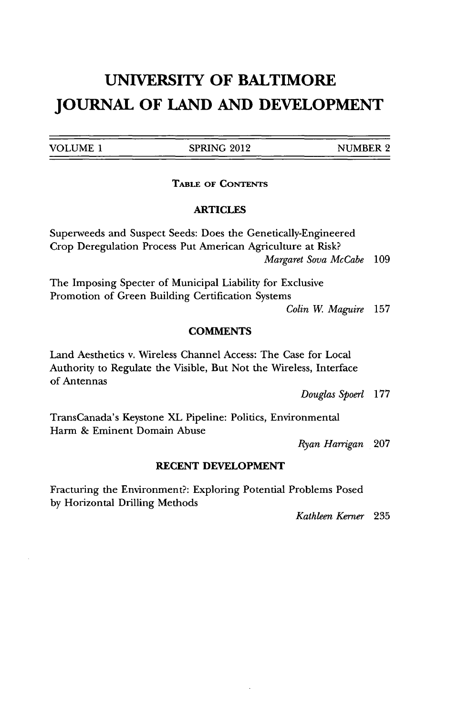**VOLUME 1 SPRING** 2012 **NUMBER** 2

**TABLE OF CONTENTS** 

### ARTICLES

Superweeds and Suspect Seeds: Does the Genetically-Engineered Crop Deregulation Process Put American Agriculture at Risk? *Margaret Sova McCabe 109*

The Imposing Specter of Municipal Liability for Exclusive Promotion of Green Building Certification Systems

*Colin W Maguire* **157**

#### **COMMENTS**

Land Aesthetics v. Wireless Channel Access: The Case for Local Authority to Regulate the Visible, But Not the Wireless, Interface of Antennas

*Douglas Spoerl* **177**

TransCanada's Keystone XL Pipeline: Politics, Environmental Harm **&** Eminent Domain Abuse

*Ryan Harrigan* **207**

#### **RECENT DEVELOPMENT**

Fracturing the Environment?: Exploring Potential Problems Posed **by** Horizontal Drilling Methods

*Kathleen Kerner* **235**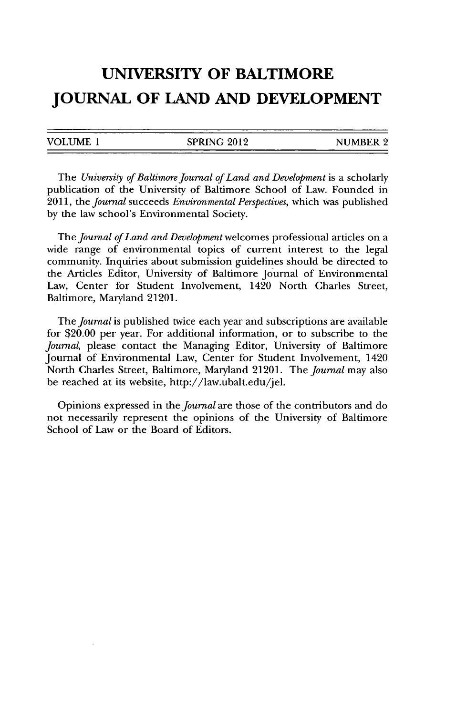| <b>VOLUME</b> | <b>SPRING 2012</b> | <b>NUMBER 2</b> |
|---------------|--------------------|-----------------|
|               |                    |                 |

*The University of Baltimore Journal of Land and Development* is a scholarly publication of the University of Baltimore School of Law. Founded in **2011,** the *journal* succeeds *Environmental Perspectives,* which was published **by** the law school's Environmental Society.

The *Journal of Land and Development* welcomes professional articles on a wide range of environmental topics of current interest to the legal community. Inquiries about submission guidelines should be directed to the Articles Editor, University of Baltimore Journal of Environmental Law, Center for Student Involvement, 1420 North Charles Street, Baltimore, Maryland 21201.

The *journal* is published twice each year and subscriptions are available for \$20.00 per year. For additional information, or to subscribe to the *Journal,* please contact the Managing Editor, University of Baltimore Journal of Environmental Law, Center for Student Involvement, 1420 North Charles Street, Baltimore, Maryland 21201. The *journal* may also be reached at its website, http://law.ubalt.edu/jel.

Opinions expressed in the *Journal* are those of the contributors and do not necessarily represent the opinions of the University of Baltimore School of Law or the Board of Editors.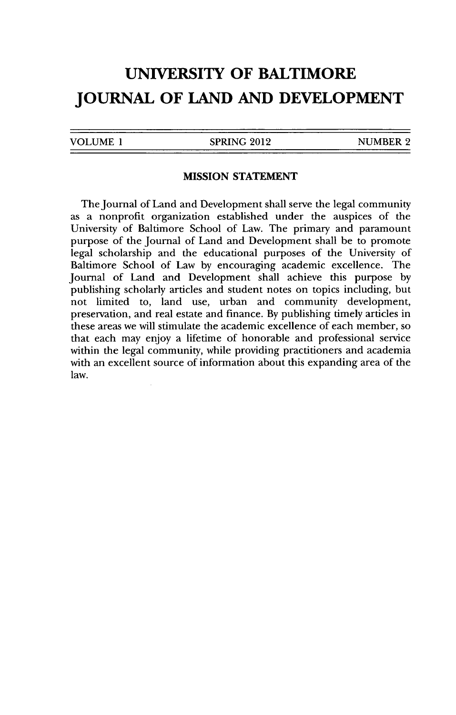| VOLUME 1 |  |
|----------|--|
|          |  |

**SPRING 2012 NUMBER 2** 

#### **MISSION STATEMENT**

The Journal of Land and Development shall serve the legal community as a nonprofit organization established under the auspices of the University of Baltimore School of Law. The primary and paramount purpose of the Journal of Land and Development shall be to promote legal scholarship and the educational purposes of the University of Baltimore School of Law **by** encouraging academic excellence. The Journal of Land and Development shall achieve this purpose **by** publishing scholarly articles and student notes on topics including, but not limited to, land use, urban and community development, preservation, and real estate and finance. **By** publishing timely articles in these areas we will stimulate the academic excellence of each member, so that each may enjoy a lifetime of honorable and professional service within the legal community, while providing practitioners and academia with an excellent source of information about this expanding area of the law.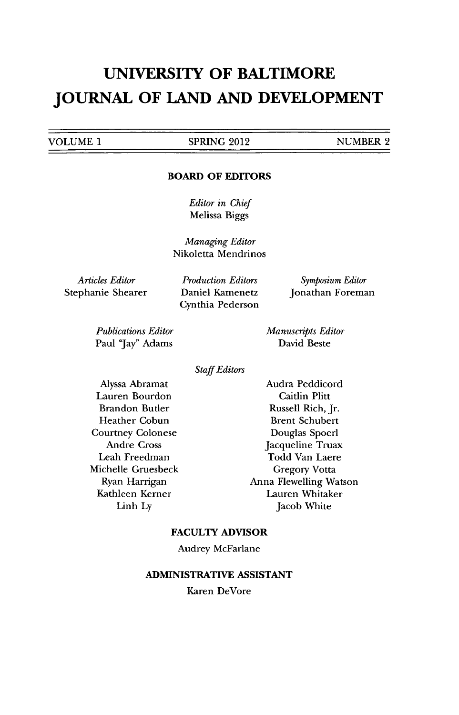**VOLUME** 1 **SPRING** 2012 **NUMBER** 2

#### **BOARD OF EDITORS**

*Editor in Chief* Melissa Biggs

*Managing Editor* Nikoletta Mendrinos

*Articles Editor* Stephanie Shearer

*Production Editors* Daniel Kamenetz Cynthia Pederson

*Symposium Editor* Jonathan Foreman

*Publications Editor* Paul "Jay" Adams

*Manuscripts Editor* David Beste

*Staff Editors*

Alyssa Abramat Lauren Bourdon Brandon Butler Heather Cobun Courtney Colonese Andre Cross Leah Freedman Michelle Gruesbeck Ryan Harrigan Kathleen Kerner Linh **Ly**

Audra Peddicord Caitlin Plitt Russell Rich, Jr. Brent Schubert Douglas Spoerl Jacqueline Truax Todd Van Laere Gregory Votta Anna Flewelling Watson Lauren Whitaker Jacob White

#### **FACULTY ADVISOR**

Audrey McFarlane

#### **ADMINISTRATIVE ASSISTANT**

Karen DeVore